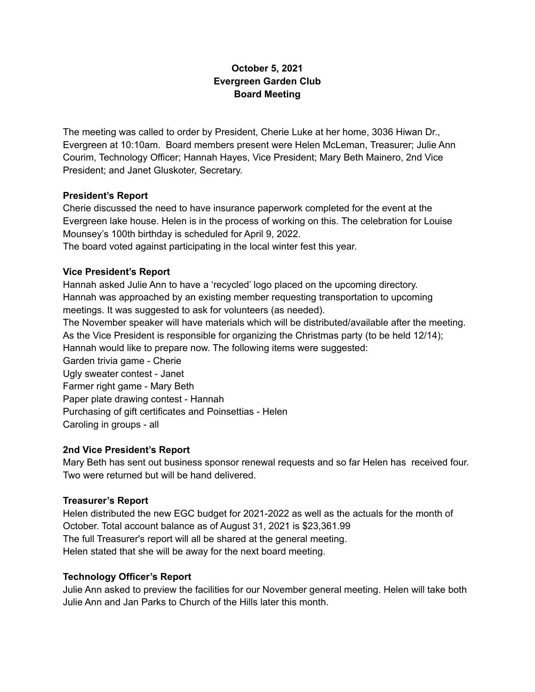# **October 5, 2021 Evergreen Garden Club Board Meeting**

The meeting was called to order by President, Cherie Luke at her home, 3036 Hiwan Dr., Evergreen at 10:10am. Board members present were Helen McLeman, Treasurer; Julie Ann Courim, Technology Officer; Hannah Hayes, Vice President; Mary Beth Mainero, 2nd Vice President; and Janet Gluskoter, Secretary.

#### **President's Report**

Cherie discussed the need to have insurance paperwork completed for the event at the Evergreen lake house. Helen is in the process of working on this. The celebration for Louise Mounsey's 100th birthday is scheduled for April 9, 2022.

The board voted against participating in the local winter fest this year.

# **Vice President's Report**

Hannah asked Julie Ann to have a 'recycled' logo placed on the upcoming directory. Hannah was approached by an existing member requesting transportation to upcoming meetings. It was suggested to ask for volunteers (as needed).

The November speaker will have materials which will be distributed/available after the meeting. As the Vice President is responsible for organizing the Christmas party (to be held 12/14); Hannah would like to prepare now. The following items were suggested:

Garden trivia game - Cherie Ugly sweater contest - Janet Farmer right game - Mary Beth Paper plate drawing contest - Hannah Purchasing of gift certificates and Poinsettias - Helen Caroling in groups - all

# **2nd Vice President's Report**

Mary Beth has sent out business sponsor renewal requests and so far Helen has received four. Two were returned but will be hand delivered.

# **Treasurer's Report**

Helen distributed the new EGC budget for 2021-2022 as well as the actuals for the month of October. Total account balance as of August 31, 2021 is \$23,361.99 The full Treasurer's report will all be shared at the general meeting. Helen stated that she will be away for the next board meeting.

# **Technology Officer's Report**

Julie Ann asked to preview the facilities for our November general meeting. Helen will take both Julie Ann and Jan Parks to Church of the Hills later this month.